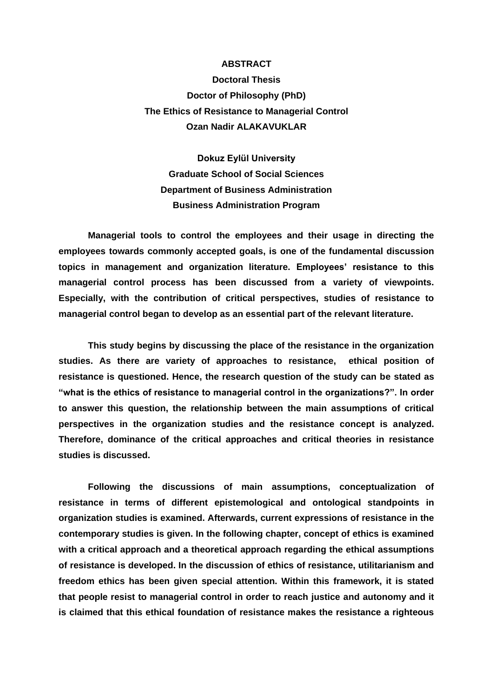## **ABSTRACT**

**Doctoral Thesis Doctor of Philosophy (PhD) The Ethics of Resistance to Managerial Control Ozan Nadir ALAKAVUKLAR**

**Dokuz Eylül University Graduate School of Social Sciences Department of Business Administration Business Administration Program**

**Managerial tools to control the employees and their usage in directing the employees towards commonly accepted goals, is one of the fundamental discussion topics in management and organization literature. Employees' resistance to this managerial control process has been discussed from a variety of viewpoints. Especially, with the contribution of critical perspectives, studies of resistance to managerial control began to develop as an essential part of the relevant literature.** 

**This study begins by discussing the place of the resistance in the organization studies. As there are variety of approaches to resistance, ethical position of resistance is questioned. Hence, the research question of the study can be stated as "what is the ethics of resistance to managerial control in the organizations?". In order to answer this question, the relationship between the main assumptions of critical perspectives in the organization studies and the resistance concept is analyzed. Therefore, dominance of the critical approaches and critical theories in resistance studies is discussed.** 

**Following the discussions of main assumptions, conceptualization of resistance in terms of different epistemological and ontological standpoints in organization studies is examined. Afterwards, current expressions of resistance in the contemporary studies is given. In the following chapter, concept of ethics is examined with a critical approach and a theoretical approach regarding the ethical assumptions of resistance is developed. In the discussion of ethics of resistance, utilitarianism and freedom ethics has been given special attention. Within this framework, it is stated that people resist to managerial control in order to reach justice and autonomy and it is claimed that this ethical foundation of resistance makes the resistance a righteous**